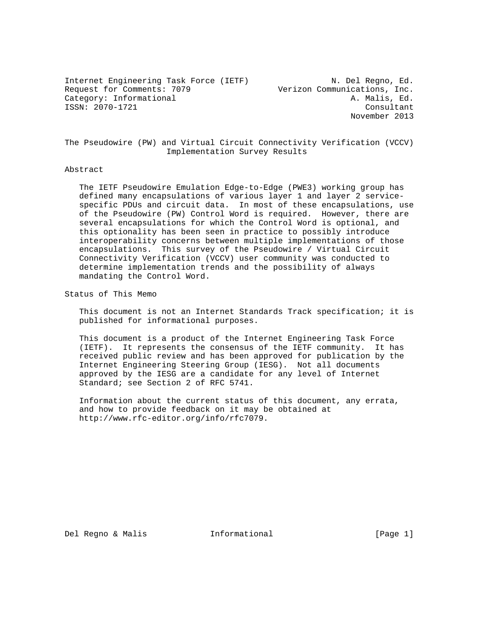Internet Engineering Task Force (IETF) N. Del Regno, Ed. Request for Comments: 7079 Verizon Communications, Inc. Category: Informational and the control of the A. Malis, Ed. ISSN: 2070-1721 Consultant

November 2013

The Pseudowire (PW) and Virtual Circuit Connectivity Verification (VCCV) Implementation Survey Results

#### Abstract

 The IETF Pseudowire Emulation Edge-to-Edge (PWE3) working group has defined many encapsulations of various layer 1 and layer 2 service specific PDUs and circuit data. In most of these encapsulations, use of the Pseudowire (PW) Control Word is required. However, there are several encapsulations for which the Control Word is optional, and this optionality has been seen in practice to possibly introduce interoperability concerns between multiple implementations of those encapsulations. This survey of the Pseudowire / Virtual Circuit Connectivity Verification (VCCV) user community was conducted to determine implementation trends and the possibility of always mandating the Control Word.

Status of This Memo

 This document is not an Internet Standards Track specification; it is published for informational purposes.

 This document is a product of the Internet Engineering Task Force (IETF). It represents the consensus of the IETF community. It has received public review and has been approved for publication by the Internet Engineering Steering Group (IESG). Not all documents approved by the IESG are a candidate for any level of Internet Standard; see Section 2 of RFC 5741.

 Information about the current status of this document, any errata, and how to provide feedback on it may be obtained at http://www.rfc-editor.org/info/rfc7079.

Del Regno & Malis Informational [Page 1]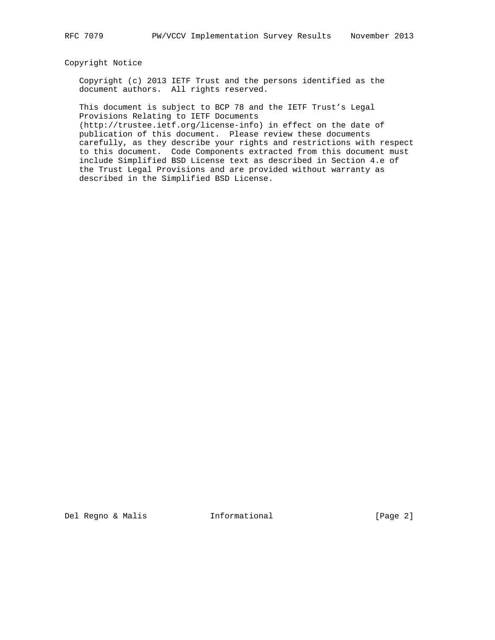## Copyright Notice

 Copyright (c) 2013 IETF Trust and the persons identified as the document authors. All rights reserved.

 This document is subject to BCP 78 and the IETF Trust's Legal Provisions Relating to IETF Documents

 (http://trustee.ietf.org/license-info) in effect on the date of publication of this document. Please review these documents carefully, as they describe your rights and restrictions with respect to this document. Code Components extracted from this document must include Simplified BSD License text as described in Section 4.e of the Trust Legal Provisions and are provided without warranty as described in the Simplified BSD License.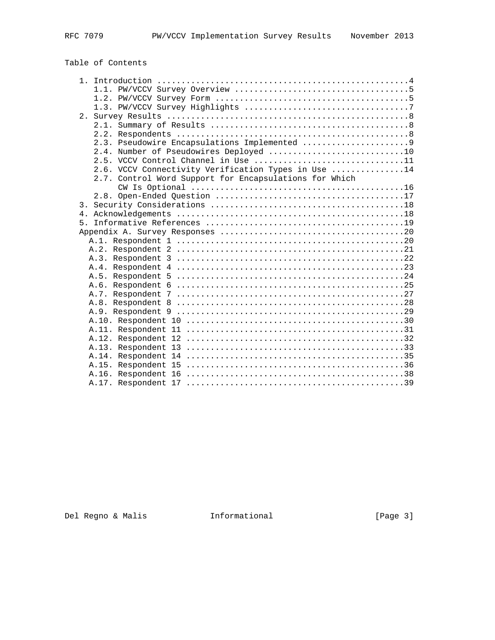# Table of Contents

| 2.3. Pseudowire Encapsulations Implemented 9           |
|--------------------------------------------------------|
| 2.4. Number of Pseudowires Deployed 10                 |
| 2.5. VCCV Control Channel in Use 11                    |
| 2.6. VCCV Connectivity Verification Types in Use 14    |
| 2.7. Control Word Support for Encapsulations for Which |
|                                                        |
|                                                        |
|                                                        |
|                                                        |
| 5.                                                     |
|                                                        |
|                                                        |
|                                                        |
|                                                        |
|                                                        |
|                                                        |
|                                                        |
|                                                        |
|                                                        |
|                                                        |
|                                                        |
|                                                        |
|                                                        |
|                                                        |
|                                                        |
|                                                        |
|                                                        |
|                                                        |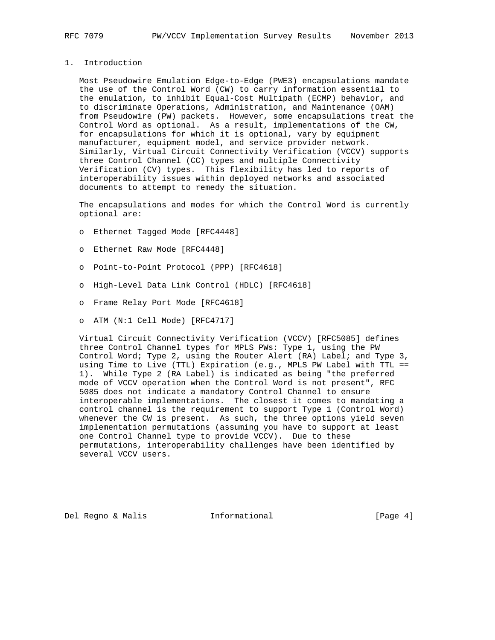# 1. Introduction

 Most Pseudowire Emulation Edge-to-Edge (PWE3) encapsulations mandate the use of the Control Word (CW) to carry information essential to the emulation, to inhibit Equal-Cost Multipath (ECMP) behavior, and to discriminate Operations, Administration, and Maintenance (OAM) from Pseudowire (PW) packets. However, some encapsulations treat the Control Word as optional. As a result, implementations of the CW, for encapsulations for which it is optional, vary by equipment manufacturer, equipment model, and service provider network. Similarly, Virtual Circuit Connectivity Verification (VCCV) supports three Control Channel (CC) types and multiple Connectivity Verification (CV) types. This flexibility has led to reports of interoperability issues within deployed networks and associated documents to attempt to remedy the situation.

 The encapsulations and modes for which the Control Word is currently optional are:

- o Ethernet Tagged Mode [RFC4448]
- o Ethernet Raw Mode [RFC4448]
- o Point-to-Point Protocol (PPP) [RFC4618]
- o High-Level Data Link Control (HDLC) [RFC4618]
- o Frame Relay Port Mode [RFC4618]
- o ATM (N:1 Cell Mode) [RFC4717]

 Virtual Circuit Connectivity Verification (VCCV) [RFC5085] defines three Control Channel types for MPLS PWs: Type 1, using the PW Control Word; Type 2, using the Router Alert (RA) Label; and Type 3, using Time to Live (TTL) Expiration (e.g., MPLS PW Label with TTL == 1). While Type 2 (RA Label) is indicated as being "the preferred mode of VCCV operation when the Control Word is not present", RFC 5085 does not indicate a mandatory Control Channel to ensure interoperable implementations. The closest it comes to mandating a control channel is the requirement to support Type 1 (Control Word) whenever the CW is present. As such, the three options yield seven implementation permutations (assuming you have to support at least one Control Channel type to provide VCCV). Due to these permutations, interoperability challenges have been identified by several VCCV users.

Del Regno & Malis Informational [Page 4]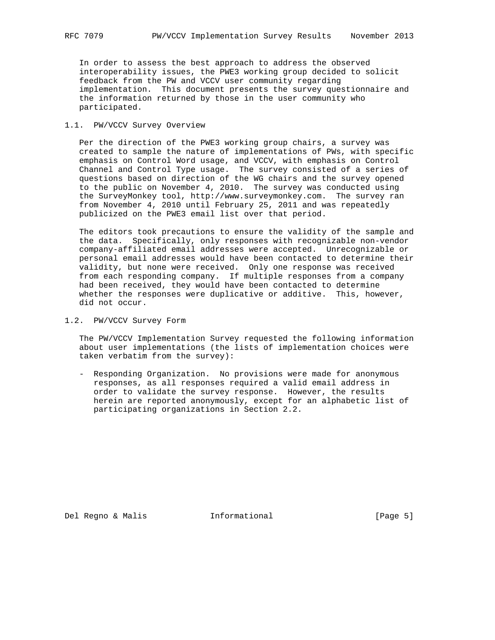In order to assess the best approach to address the observed interoperability issues, the PWE3 working group decided to solicit feedback from the PW and VCCV user community regarding implementation. This document presents the survey questionnaire and the information returned by those in the user community who participated.

#### 1.1. PW/VCCV Survey Overview

 Per the direction of the PWE3 working group chairs, a survey was created to sample the nature of implementations of PWs, with specific emphasis on Control Word usage, and VCCV, with emphasis on Control Channel and Control Type usage. The survey consisted of a series of questions based on direction of the WG chairs and the survey opened to the public on November 4, 2010. The survey was conducted using the SurveyMonkey tool, http://www.surveymonkey.com. The survey ran from November 4, 2010 until February 25, 2011 and was repeatedly publicized on the PWE3 email list over that period.

 The editors took precautions to ensure the validity of the sample and the data. Specifically, only responses with recognizable non-vendor company-affiliated email addresses were accepted. Unrecognizable or personal email addresses would have been contacted to determine their validity, but none were received. Only one response was received from each responding company. If multiple responses from a company had been received, they would have been contacted to determine whether the responses were duplicative or additive. This, however, did not occur.

1.2. PW/VCCV Survey Form

 The PW/VCCV Implementation Survey requested the following information about user implementations (the lists of implementation choices were taken verbatim from the survey):

 - Responding Organization. No provisions were made for anonymous responses, as all responses required a valid email address in order to validate the survey response. However, the results herein are reported anonymously, except for an alphabetic list of participating organizations in Section 2.2.

Del Regno & Malis **Informational** [Page 5]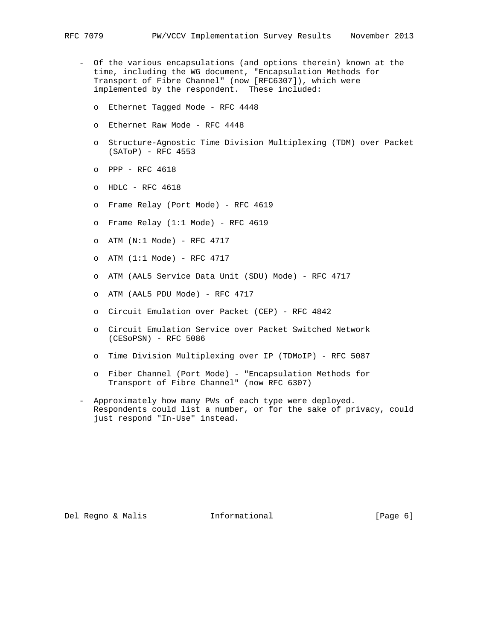- Of the various encapsulations (and options therein) known at the time, including the WG document, "Encapsulation Methods for Transport of Fibre Channel" (now [RFC6307]), which were implemented by the respondent. These included:
	- o Ethernet Tagged Mode RFC 4448
	- o Ethernet Raw Mode RFC 4448
	- o Structure-Agnostic Time Division Multiplexing (TDM) over Packet (SAToP) - RFC 4553
	- o PPP RFC 4618
	- o HDLC RFC 4618
	- o Frame Relay (Port Mode) RFC 4619
	- o Frame Relay (1:1 Mode) RFC 4619
	- o  $ATM (N:1 Model) RFC 4717$
	- o ATM (1:1 Mode) RFC 4717
	- o ATM (AAL5 Service Data Unit (SDU) Mode) RFC 4717
	- o ATM (AAL5 PDU Mode) RFC 4717
	- o Circuit Emulation over Packet (CEP) RFC 4842
	- o Circuit Emulation Service over Packet Switched Network (CESoPSN) - RFC 5086
	- o Time Division Multiplexing over IP (TDMoIP) RFC 5087
	- o Fiber Channel (Port Mode) "Encapsulation Methods for Transport of Fibre Channel" (now RFC 6307)
- Approximately how many PWs of each type were deployed. Respondents could list a number, or for the sake of privacy, could just respond "In-Use" instead.

Del Regno & Malis **Informational** [Page 6]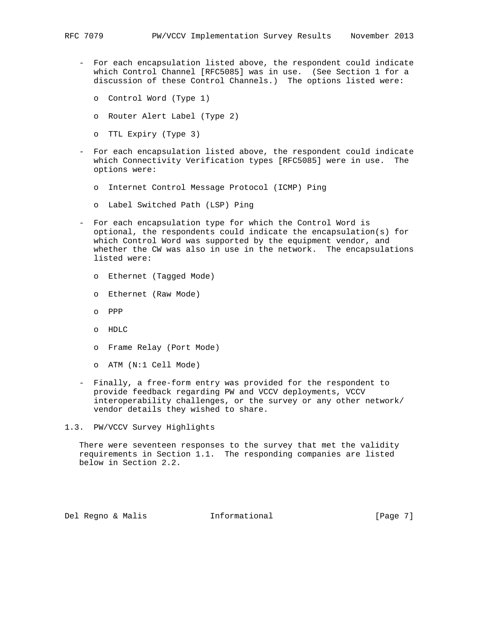- For each encapsulation listed above, the respondent could indicate which Control Channel [RFC5085] was in use. (See Section 1 for a discussion of these Control Channels.) The options listed were:
	- o Control Word (Type 1)
	- o Router Alert Label (Type 2)
	- o TTL Expiry (Type 3)
- For each encapsulation listed above, the respondent could indicate which Connectivity Verification types [RFC5085] were in use. The options were:
	- o Internet Control Message Protocol (ICMP) Ping
	- o Label Switched Path (LSP) Ping
- For each encapsulation type for which the Control Word is optional, the respondents could indicate the encapsulation(s) for which Control Word was supported by the equipment vendor, and whether the CW was also in use in the network. The encapsulations listed were:
	- o Ethernet (Tagged Mode)
	- o Ethernet (Raw Mode)
	- o PPP
	- o HDLC
	- o Frame Relay (Port Mode)
	- o ATM (N:1 Cell Mode)
- Finally, a free-form entry was provided for the respondent to provide feedback regarding PW and VCCV deployments, VCCV interoperability challenges, or the survey or any other network/ vendor details they wished to share.
- 1.3. PW/VCCV Survey Highlights

 There were seventeen responses to the survey that met the validity requirements in Section 1.1. The responding companies are listed below in Section 2.2.

Del Regno & Malis **Informational** [Page 7]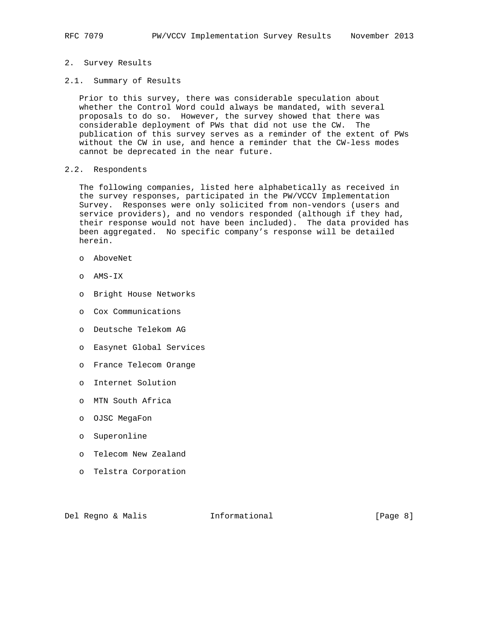## 2. Survey Results

2.1. Summary of Results

 Prior to this survey, there was considerable speculation about whether the Control Word could always be mandated, with several proposals to do so. However, the survey showed that there was considerable deployment of PWs that did not use the CW. The publication of this survey serves as a reminder of the extent of PWs without the CW in use, and hence a reminder that the CW-less modes cannot be deprecated in the near future.

# 2.2. Respondents

 The following companies, listed here alphabetically as received in the survey responses, participated in the PW/VCCV Implementation Survey. Responses were only solicited from non-vendors (users and service providers), and no vendors responded (although if they had, their response would not have been included). The data provided has been aggregated. No specific company's response will be detailed herein.

- o AboveNet
- o AMS-IX
- o Bright House Networks
- o Cox Communications
- o Deutsche Telekom AG
- o Easynet Global Services
- o France Telecom Orange
- o Internet Solution
- o MTN South Africa
- o OJSC MegaFon
- o Superonline
- o Telecom New Zealand
- o Telstra Corporation

Del Regno & Malis **Informational** [Page 8]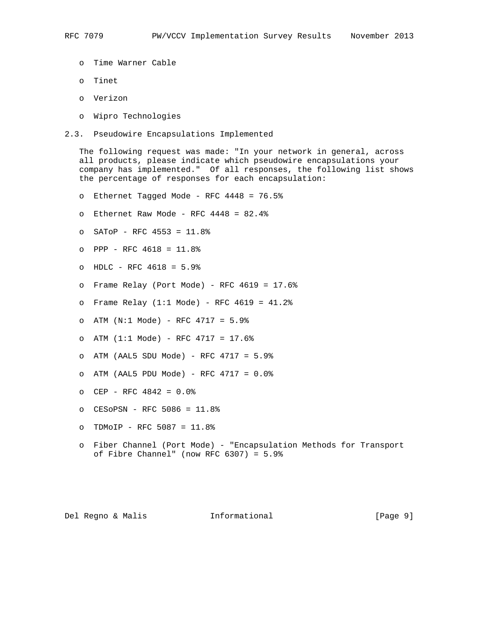- o Time Warner Cable
- o Tinet
- o Verizon
- o Wipro Technologies
- 2.3. Pseudowire Encapsulations Implemented

 The following request was made: "In your network in general, across all products, please indicate which pseudowire encapsulations your company has implemented." Of all responses, the following list shows the percentage of responses for each encapsulation:

- o Ethernet Tagged Mode RFC 4448 = 76.5%
- o Ethernet Raw Mode RFC 4448 = 82.4%
- o SAToP RFC 4553 = 11.8%
- o PPP RFC 4618 = 11.8%
- o HDLC RFC 4618 = 5.9%
- o Frame Relay (Port Mode) RFC 4619 = 17.6%
- o Frame Relay (1:1 Mode) RFC 4619 = 41.2%
- o ATM (N:1 Mode) RFC 4717 = 5.9%
- o ATM (1:1 Mode) RFC 4717 = 17.6%
- o ATM (AAL5 SDU Mode) RFC 4717 = 5.9%
- o ATM (AAL5 PDU Mode) RFC 4717 = 0.0%
- o CEP RFC 4842 = 0.0%
- o CESoPSN RFC 5086 = 11.8%
- o TDMoIP RFC 5087 = 11.8%
- o Fiber Channel (Port Mode) "Encapsulation Methods for Transport of Fibre Channel" (now RFC 6307) = 5.9%

Del Regno & Malis Informational [Page 9]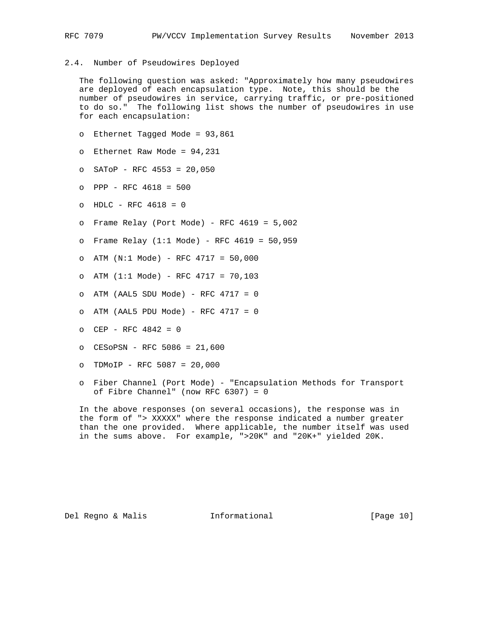## 2.4. Number of Pseudowires Deployed

 The following question was asked: "Approximately how many pseudowires are deployed of each encapsulation type. Note, this should be the number of pseudowires in service, carrying traffic, or pre-positioned to do so." The following list shows the number of pseudowires in use for each encapsulation:

- o Ethernet Tagged Mode = 93,861
- o Ethernet Raw Mode = 94,231
- o SAToP RFC 4553 = 20,050
- o PPP RFC 4618 = 500
- o HDLC RFC 4618 = 0
- o Frame Relay (Port Mode) RFC 4619 = 5,002
- o Frame Relay (1:1 Mode) RFC 4619 = 50,959
- o ATM (N:1 Mode) RFC 4717 = 50,000
- o ATM (1:1 Mode) RFC 4717 = 70,103
- o ATM (AAL5 SDU Mode) RFC 4717 = 0
- o ATM (AAL5 PDU Mode) RFC 4717 = 0
- o CEP RFC 4842 = 0
- o CESoPSN RFC 5086 = 21,600
- o TDMoIP RFC 5087 = 20,000
- o Fiber Channel (Port Mode) "Encapsulation Methods for Transport of Fibre Channel" (now RFC 6307) = 0

 In the above responses (on several occasions), the response was in the form of "> XXXXX" where the response indicated a number greater than the one provided. Where applicable, the number itself was used in the sums above. For example, ">20K" and "20K+" yielded 20K.

Del Regno & Malis Informational [Page 10]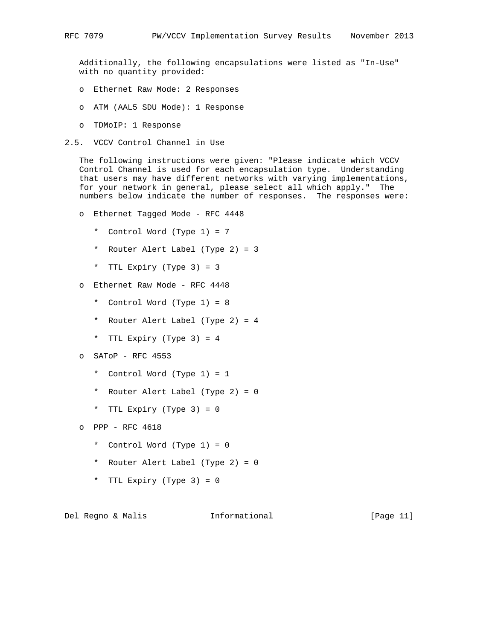Additionally, the following encapsulations were listed as "In-Use" with no quantity provided:

- o Ethernet Raw Mode: 2 Responses
- o ATM (AAL5 SDU Mode): 1 Response
- o TDMoIP: 1 Response
- 2.5. VCCV Control Channel in Use

 The following instructions were given: "Please indicate which VCCV Control Channel is used for each encapsulation type. Understanding that users may have different networks with varying implementations, for your network in general, please select all which apply." The numbers below indicate the number of responses. The responses were:

- o Ethernet Tagged Mode RFC 4448
	- \* Control Word (Type 1) = 7
	- \* Router Alert Label (Type 2) = 3
	- \* TTL Expiry (Type 3) = 3
- o Ethernet Raw Mode RFC 4448
	- \* Control Word (Type 1) = 8
	- \* Router Alert Label (Type 2) = 4
	- \* TTL Expiry (Type 3) = 4
- o SAToP RFC 4553
	- \* Control Word (Type 1) = 1
	- \* Router Alert Label (Type 2) = 0
	- \* TTL Expiry (Type 3) = 0

o PPP - RFC 4618

- \* Control Word (Type 1) = 0
- \* Router Alert Label (Type 2) = 0
- \* TTL Expiry (Type 3) = 0

Del Regno & Malis Informational [Page 11]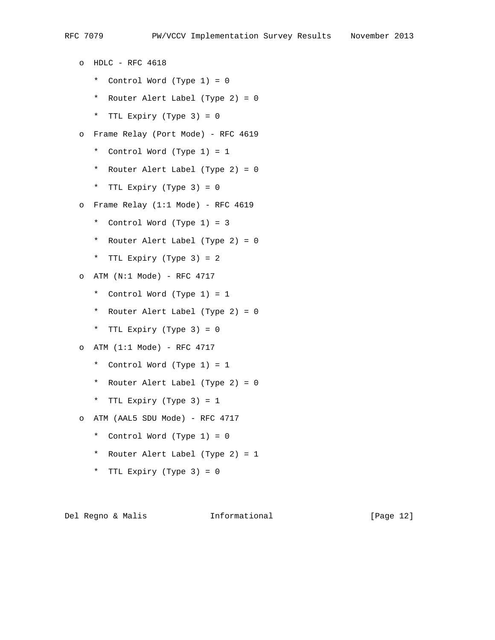o HDLC - RFC 4618 \* Control Word (Type 1) = 0 \* Router Alert Label (Type 2) = 0 \* TTL Expiry (Type 3) = 0 o Frame Relay (Port Mode) - RFC 4619 \* Control Word (Type 1) = 1 \* Router Alert Label (Type 2) = 0 \* TTL Expiry (Type 3) = 0 o Frame Relay (1:1 Mode) - RFC 4619 \* Control Word (Type 1) = 3 \* Router Alert Label (Type 2) = 0 \* TTL Expiry (Type 3) = 2 o ATM (N:1 Mode) - RFC 4717 \* Control Word (Type 1) = 1 \* Router Alert Label (Type 2) = 0 \* TTL Expiry (Type 3) = 0 o  $ATM (1:1 Model) - RFC 4717$  \* Control Word (Type 1) = 1 \* Router Alert Label (Type 2) = 0 \* TTL Expiry (Type 3) = 1 o ATM (AAL5 SDU Mode) - RFC 4717 \* Control Word (Type 1) = 0 \* Router Alert Label (Type 2) = 1

\* TTL Expiry (Type 3) = 0

Del Regno & Malis Informational [Page 12]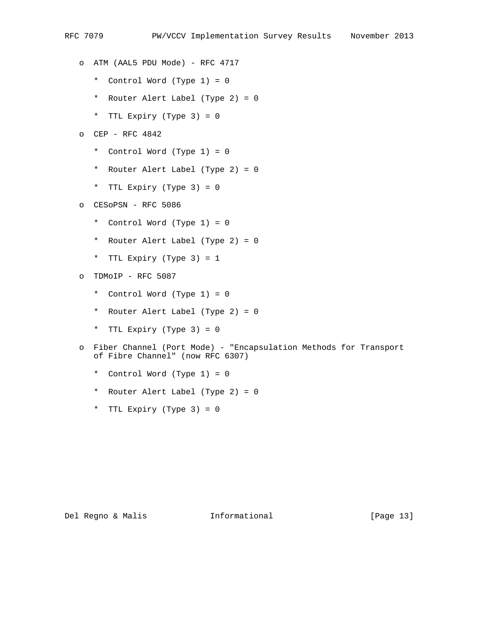- o ATM (AAL5 PDU Mode) RFC 4717
	- \* Control Word (Type 1) = 0
	- \* Router Alert Label (Type 2) = 0
	- \* TTL Expiry (Type 3) = 0
- o CEP RFC 4842
	- \* Control Word (Type 1) = 0
	- \* Router Alert Label (Type 2) = 0
	- \* TTL Expiry (Type 3) = 0
- o CESoPSN RFC 5086
	- \* Control Word (Type 1) = 0
	- \* Router Alert Label (Type 2) = 0
	- \* TTL Expiry (Type 3) = 1
- o TDMoIP RFC 5087
	- \* Control Word (Type 1) = 0
	- \* Router Alert Label (Type 2) = 0
	- \* TTL Expiry (Type 3) = 0
- o Fiber Channel (Port Mode) "Encapsulation Methods for Transport of Fibre Channel" (now RFC 6307)
	- \* Control Word (Type 1) = 0
	- \* Router Alert Label (Type 2) = 0
	- \* TTL Expiry (Type 3) = 0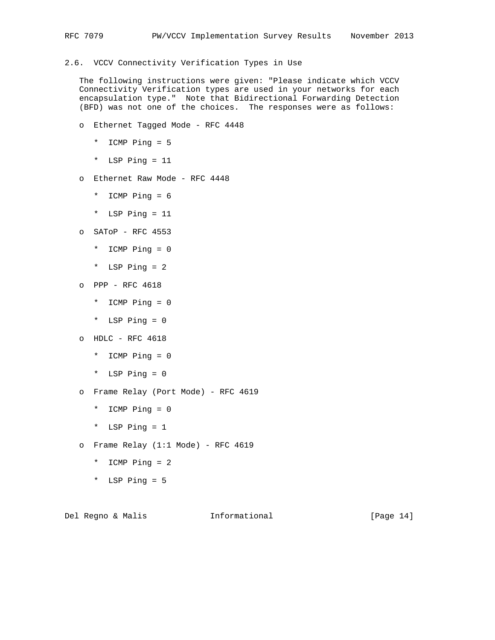# 2.6. VCCV Connectivity Verification Types in Use

 The following instructions were given: "Please indicate which VCCV Connectivity Verification types are used in your networks for each encapsulation type." Note that Bidirectional Forwarding Detection (BFD) was not one of the choices. The responses were as follows:

- o Ethernet Tagged Mode RFC 4448
	- \* ICMP Ping = 5
	- \* LSP Ping = 11
- o Ethernet Raw Mode RFC 4448
	- \* ICMP Ping = 6
	- \* LSP Ping = 11
- o SAToP RFC 4553
	- \* ICMP Ping = 0
	- \* LSP Ping = 2
- o PPP RFC 4618
	- \* ICMP Ping = 0
	- \* LSP Ping = 0
- o HDLC RFC 4618
	- \* ICMP Ping = 0
	- \* LSP Ping = 0
- o Frame Relay (Port Mode) RFC 4619
	- \* ICMP Ping = 0
	- \* LSP Ping = 1
- o Frame Relay  $(1:1 \text{ Mode})$  RFC 4619
	- \* ICMP Ping = 2
	- \* LSP Ping = 5

Del Regno & Malis Informational [Page 14]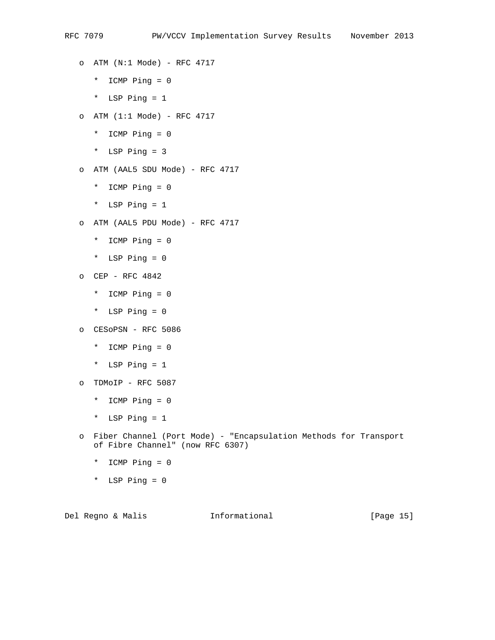- o ATM (N:1 Mode) RFC 4717 \* ICMP Ping = 0 \* LSP Ping = 1 o ATM (1:1 Mode) - RFC 4717 \* ICMP Ping = 0 \* LSP Ping = 3 o ATM (AAL5 SDU Mode) - RFC 4717 \* ICMP Ping = 0 \* LSP Ping = 1 o ATM (AAL5 PDU Mode) - RFC 4717 \* ICMP Ping = 0 \* LSP Ping = 0 o CEP - RFC 4842 \* ICMP Ping = 0 \* LSP Ping = 0 o CESoPSN - RFC 5086 \* ICMP Ping = 0
- \* LSP Ping = 1 o TDMoIP - RFC 5087
	- \* ICMP Ping = 0
	- \* LSP Ping = 1
- o Fiber Channel (Port Mode) "Encapsulation Methods for Transport of Fibre Channel" (now RFC 6307)
	- \* ICMP Ping = 0
	- \* LSP Ping = 0

Del Regno & Malis **Informational** [Page 15]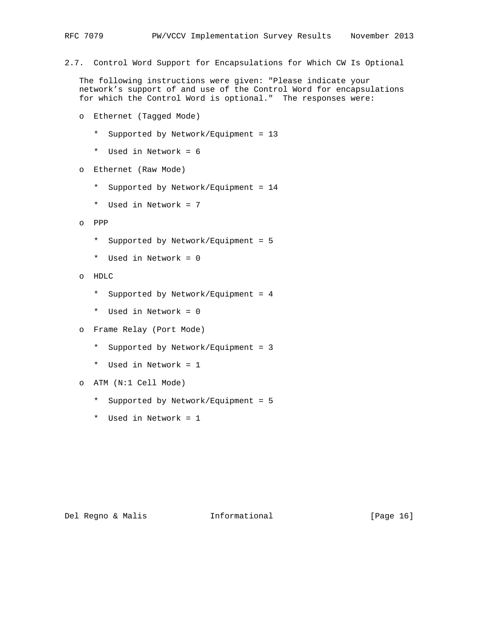2.7. Control Word Support for Encapsulations for Which CW Is Optional

 The following instructions were given: "Please indicate your network's support of and use of the Control Word for encapsulations for which the Control Word is optional." The responses were:

- o Ethernet (Tagged Mode)
	- \* Supported by Network/Equipment = 13
	- \* Used in Network = 6
- o Ethernet (Raw Mode)
	- \* Supported by Network/Equipment = 14
	- \* Used in Network = 7
- o PPP
	- \* Supported by Network/Equipment = 5
	- \* Used in Network = 0
- o HDLC
	- \* Supported by Network/Equipment = 4
	- \* Used in Network = 0
- o Frame Relay (Port Mode)
	- \* Supported by Network/Equipment = 3
	- \* Used in Network = 1
- o ATM (N:1 Cell Mode)
	- \* Supported by Network/Equipment = 5
	- \* Used in Network = 1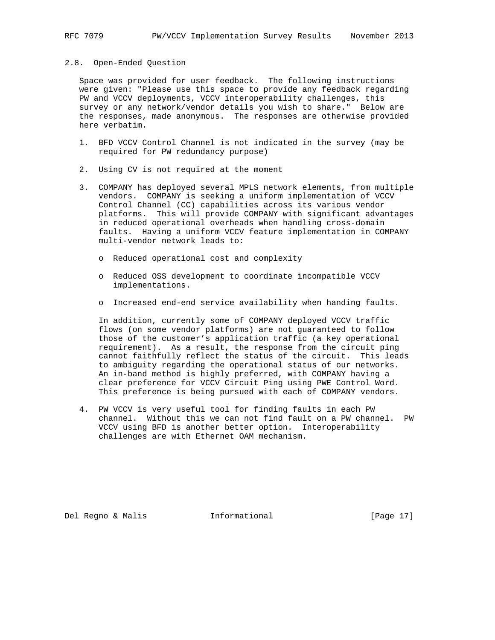#### 2.8. Open-Ended Question

 Space was provided for user feedback. The following instructions were given: "Please use this space to provide any feedback regarding PW and VCCV deployments, VCCV interoperability challenges, this survey or any network/vendor details you wish to share." Below are the responses, made anonymous. The responses are otherwise provided here verbatim.

- 1. BFD VCCV Control Channel is not indicated in the survey (may be required for PW redundancy purpose)
- 2. Using CV is not required at the moment
- 3. COMPANY has deployed several MPLS network elements, from multiple vendors. COMPANY is seeking a uniform implementation of VCCV Control Channel (CC) capabilities across its various vendor platforms. This will provide COMPANY with significant advantages in reduced operational overheads when handling cross-domain faults. Having a uniform VCCV feature implementation in COMPANY multi-vendor network leads to:
	- o Reduced operational cost and complexity
	- o Reduced OSS development to coordinate incompatible VCCV implementations.
	- o Increased end-end service availability when handing faults.

 In addition, currently some of COMPANY deployed VCCV traffic flows (on some vendor platforms) are not guaranteed to follow those of the customer's application traffic (a key operational requirement). As a result, the response from the circuit ping cannot faithfully reflect the status of the circuit. This leads to ambiguity regarding the operational status of our networks. An in-band method is highly preferred, with COMPANY having a clear preference for VCCV Circuit Ping using PWE Control Word. This preference is being pursued with each of COMPANY vendors.

 4. PW VCCV is very useful tool for finding faults in each PW channel. Without this we can not find fault on a PW channel. PW VCCV using BFD is another better option. Interoperability challenges are with Ethernet OAM mechanism.

Del Regno & Malis Informational [Page 17]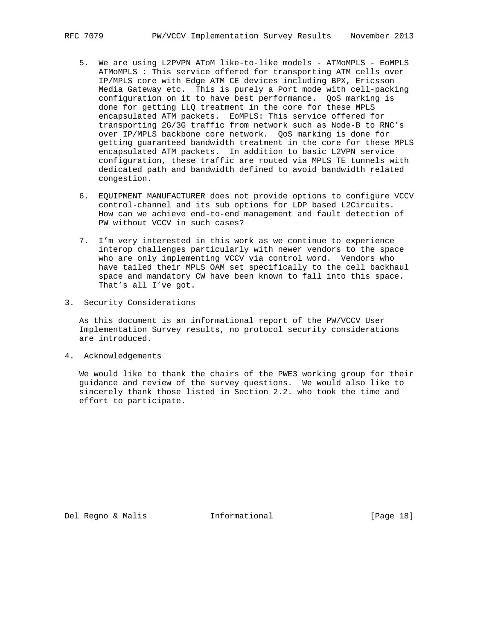- 5. We are using L2PVPN AToM like-to-like models ATMoMPLS EoMPLS ATMoMPLS : This service offered for transporting ATM cells over IP/MPLS core with Edge ATM CE devices including BPX, Ericsson Media Gateway etc. This is purely a Port mode with cell-packing configuration on it to have best performance. QoS marking is done for getting LLQ treatment in the core for these MPLS encapsulated ATM packets. EoMPLS: This service offered for transporting 2G/3G traffic from network such as Node-B to RNC's over IP/MPLS backbone core network. QoS marking is done for getting guaranteed bandwidth treatment in the core for these MPLS encapsulated ATM packets. In addition to basic L2VPN service configuration, these traffic are routed via MPLS TE tunnels with dedicated path and bandwidth defined to avoid bandwidth related congestion.
	- 6. EQUIPMENT MANUFACTURER does not provide options to configure VCCV control-channel and its sub options for LDP based L2Circuits. How can we achieve end-to-end management and fault detection of PW without VCCV in such cases?
	- 7. I'm very interested in this work as we continue to experience interop challenges particularly with newer vendors to the space who are only implementing VCCV via control word. Vendors who have tailed their MPLS OAM set specifically to the cell backhaul space and mandatory CW have been known to fall into this space. That's all I've got.
- 3. Security Considerations

 As this document is an informational report of the PW/VCCV User Implementation Survey results, no protocol security considerations are introduced.

4. Acknowledgements

 We would like to thank the chairs of the PWE3 working group for their guidance and review of the survey questions. We would also like to sincerely thank those listed in Section 2.2. who took the time and effort to participate.

Del Regno & Malis **Informational** [Page 18]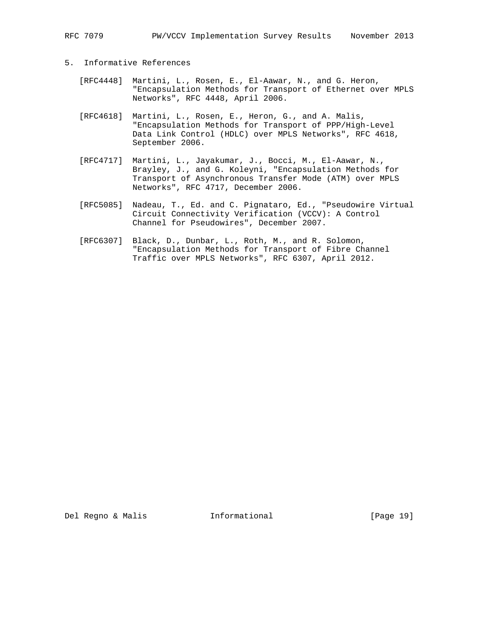RFC 7079 PW/VCCV Implementation Survey Results November 2013

# 5. Informative References

- [RFC4448] Martini, L., Rosen, E., El-Aawar, N., and G. Heron, "Encapsulation Methods for Transport of Ethernet over MPLS Networks", RFC 4448, April 2006.
- [RFC4618] Martini, L., Rosen, E., Heron, G., and A. Malis, "Encapsulation Methods for Transport of PPP/High-Level Data Link Control (HDLC) over MPLS Networks", RFC 4618, September 2006.
- [RFC4717] Martini, L., Jayakumar, J., Bocci, M., El-Aawar, N., Brayley, J., and G. Koleyni, "Encapsulation Methods for Transport of Asynchronous Transfer Mode (ATM) over MPLS Networks", RFC 4717, December 2006.
- [RFC5085] Nadeau, T., Ed. and C. Pignataro, Ed., "Pseudowire Virtual Circuit Connectivity Verification (VCCV): A Control Channel for Pseudowires", December 2007.
- [RFC6307] Black, D., Dunbar, L., Roth, M., and R. Solomon, "Encapsulation Methods for Transport of Fibre Channel Traffic over MPLS Networks", RFC 6307, April 2012.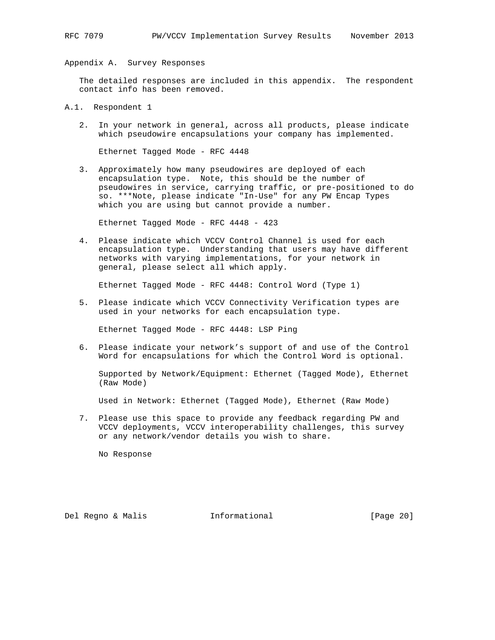Appendix A. Survey Responses

 The detailed responses are included in this appendix. The respondent contact info has been removed.

- A.1. Respondent 1
	- 2. In your network in general, across all products, please indicate which pseudowire encapsulations your company has implemented.

Ethernet Tagged Mode - RFC 4448

 3. Approximately how many pseudowires are deployed of each encapsulation type. Note, this should be the number of pseudowires in service, carrying traffic, or pre-positioned to do so. \*\*\*Note, please indicate "In-Use" for any PW Encap Types which you are using but cannot provide a number.

Ethernet Tagged Mode - RFC 4448 - 423

 4. Please indicate which VCCV Control Channel is used for each encapsulation type. Understanding that users may have different networks with varying implementations, for your network in general, please select all which apply.

Ethernet Tagged Mode - RFC 4448: Control Word (Type 1)

 5. Please indicate which VCCV Connectivity Verification types are used in your networks for each encapsulation type.

Ethernet Tagged Mode - RFC 4448: LSP Ping

 6. Please indicate your network's support of and use of the Control Word for encapsulations for which the Control Word is optional.

 Supported by Network/Equipment: Ethernet (Tagged Mode), Ethernet (Raw Mode)

Used in Network: Ethernet (Tagged Mode), Ethernet (Raw Mode)

 7. Please use this space to provide any feedback regarding PW and VCCV deployments, VCCV interoperability challenges, this survey or any network/vendor details you wish to share.

No Response

Del Regno & Malis Informational [Page 20]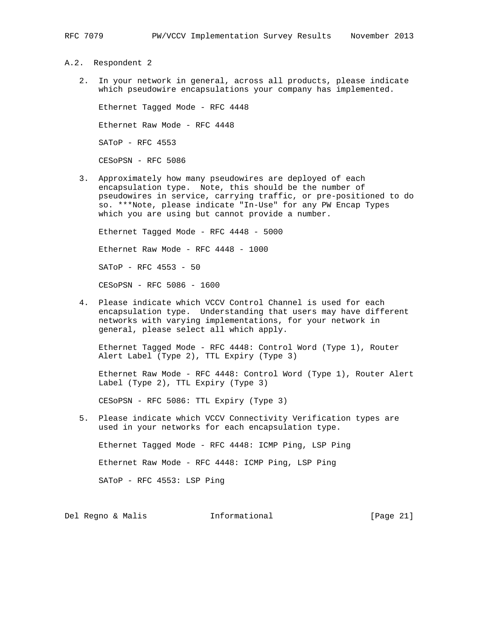#### A.2. Respondent 2

 2. In your network in general, across all products, please indicate which pseudowire encapsulations your company has implemented.

 Ethernet Tagged Mode - RFC 4448 Ethernet Raw Mode - RFC 4448 SAToP - RFC 4553 CESoPSN - RFC 5086

 3. Approximately how many pseudowires are deployed of each encapsulation type. Note, this should be the number of pseudowires in service, carrying traffic, or pre-positioned to do so. \*\*\*Note, please indicate "In-Use" for any PW Encap Types which you are using but cannot provide a number.

 Ethernet Tagged Mode - RFC 4448 - 5000 Ethernet Raw Mode - RFC 4448 - 1000 SAToP - RFC 4553 - 50 CESoPSN - RFC 5086 - 1600

 4. Please indicate which VCCV Control Channel is used for each encapsulation type. Understanding that users may have different networks with varying implementations, for your network in general, please select all which apply.

 Ethernet Tagged Mode - RFC 4448: Control Word (Type 1), Router Alert Label (Type 2), TTL Expiry (Type 3)

 Ethernet Raw Mode - RFC 4448: Control Word (Type 1), Router Alert Label (Type 2), TTL Expiry (Type 3)

CESoPSN - RFC 5086: TTL Expiry (Type 3)

 5. Please indicate which VCCV Connectivity Verification types are used in your networks for each encapsulation type.

Ethernet Tagged Mode - RFC 4448: ICMP Ping, LSP Ping

Ethernet Raw Mode - RFC 4448: ICMP Ping, LSP Ping

SAToP - RFC 4553: LSP Ping

Del Regno & Malis Informational [Page 21]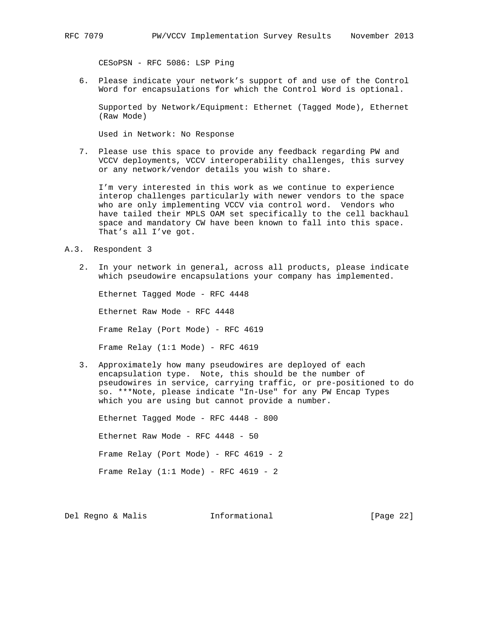CESoPSN - RFC 5086: LSP Ping

 6. Please indicate your network's support of and use of the Control Word for encapsulations for which the Control Word is optional.

 Supported by Network/Equipment: Ethernet (Tagged Mode), Ethernet (Raw Mode)

Used in Network: No Response

 7. Please use this space to provide any feedback regarding PW and VCCV deployments, VCCV interoperability challenges, this survey or any network/vendor details you wish to share.

 I'm very interested in this work as we continue to experience interop challenges particularly with newer vendors to the space who are only implementing VCCV via control word. Vendors who have tailed their MPLS OAM set specifically to the cell backhaul space and mandatory CW have been known to fall into this space. That's all I've got.

- A.3. Respondent 3
	- 2. In your network in general, across all products, please indicate which pseudowire encapsulations your company has implemented.

 Ethernet Tagged Mode - RFC 4448 Ethernet Raw Mode - RFC 4448 Frame Relay (Port Mode) - RFC 4619 Frame Relay (1:1 Mode) - RFC 4619

 3. Approximately how many pseudowires are deployed of each encapsulation type. Note, this should be the number of pseudowires in service, carrying traffic, or pre-positioned to do so. \*\*\*Note, please indicate "In-Use" for any PW Encap Types which you are using but cannot provide a number.

 Ethernet Tagged Mode - RFC 4448 - 800 Ethernet Raw Mode - RFC 4448 - 50 Frame Relay (Port Mode) - RFC 4619 - 2 Frame Relay  $(1:1 \text{ Mode})$  - RFC 4619 - 2

Del Regno & Malis Informational [Page 22]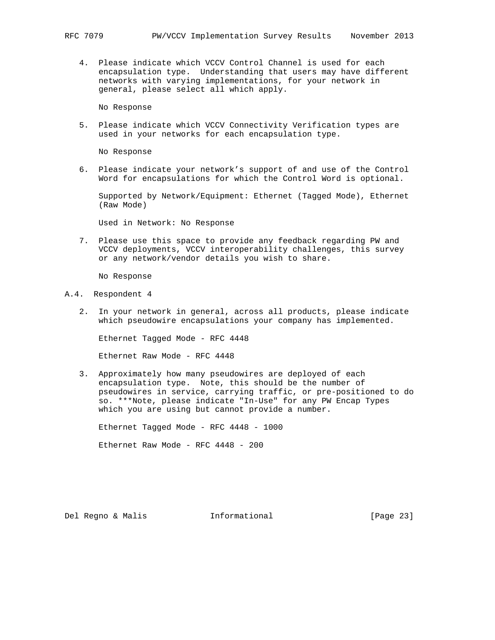4. Please indicate which VCCV Control Channel is used for each encapsulation type. Understanding that users may have different networks with varying implementations, for your network in general, please select all which apply.

No Response

 5. Please indicate which VCCV Connectivity Verification types are used in your networks for each encapsulation type.

No Response

 6. Please indicate your network's support of and use of the Control Word for encapsulations for which the Control Word is optional.

 Supported by Network/Equipment: Ethernet (Tagged Mode), Ethernet (Raw Mode)

Used in Network: No Response

 7. Please use this space to provide any feedback regarding PW and VCCV deployments, VCCV interoperability challenges, this survey or any network/vendor details you wish to share.

No Response

#### A.4. Respondent 4

 2. In your network in general, across all products, please indicate which pseudowire encapsulations your company has implemented.

Ethernet Tagged Mode - RFC 4448

Ethernet Raw Mode - RFC 4448

 3. Approximately how many pseudowires are deployed of each encapsulation type. Note, this should be the number of pseudowires in service, carrying traffic, or pre-positioned to do so. \*\*\*Note, please indicate "In-Use" for any PW Encap Types which you are using but cannot provide a number.

Ethernet Tagged Mode - RFC 4448 - 1000

Ethernet Raw Mode - RFC 4448 - 200

Del Regno & Malis Informational [Page 23]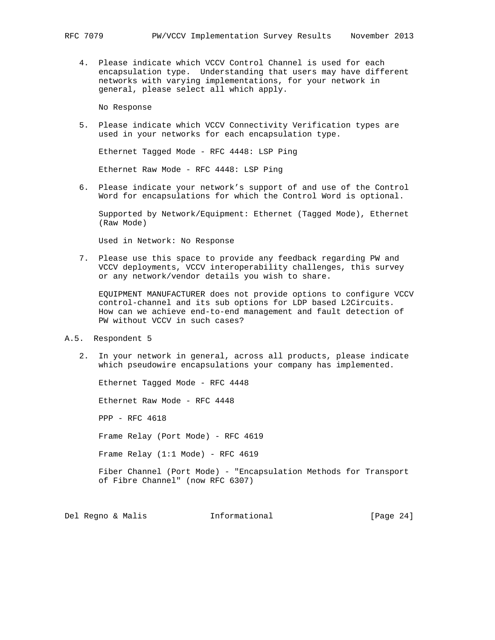4. Please indicate which VCCV Control Channel is used for each encapsulation type. Understanding that users may have different networks with varying implementations, for your network in general, please select all which apply.

No Response

 5. Please indicate which VCCV Connectivity Verification types are used in your networks for each encapsulation type.

Ethernet Tagged Mode - RFC 4448: LSP Ping

Ethernet Raw Mode - RFC 4448: LSP Ping

 6. Please indicate your network's support of and use of the Control Word for encapsulations for which the Control Word is optional.

 Supported by Network/Equipment: Ethernet (Tagged Mode), Ethernet (Raw Mode)

Used in Network: No Response

 7. Please use this space to provide any feedback regarding PW and VCCV deployments, VCCV interoperability challenges, this survey or any network/vendor details you wish to share.

 EQUIPMENT MANUFACTURER does not provide options to configure VCCV control-channel and its sub options for LDP based L2Circuits. How can we achieve end-to-end management and fault detection of PW without VCCV in such cases?

- A.5. Respondent 5
	- 2. In your network in general, across all products, please indicate which pseudowire encapsulations your company has implemented.

 Ethernet Tagged Mode - RFC 4448 Ethernet Raw Mode - RFC 4448 PPP - RFC 4618 Frame Relay (Port Mode) - RFC 4619 Frame Relay (1:1 Mode) - RFC 4619 Fiber Channel (Port Mode) - "Encapsulation Methods for Transport of Fibre Channel" (now RFC 6307)

Del Regno & Malis **Informational** [Page 24]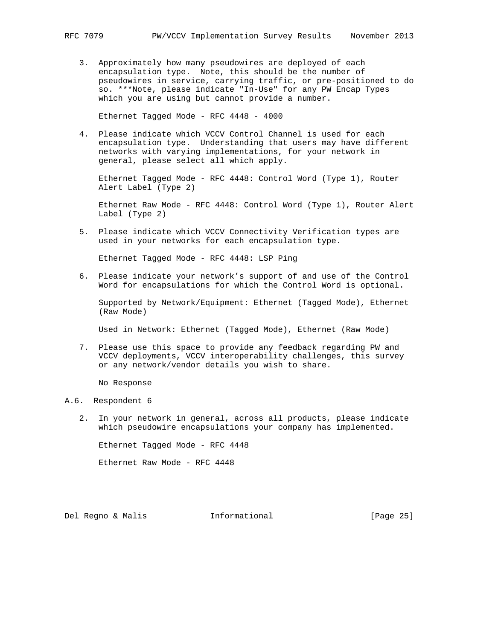3. Approximately how many pseudowires are deployed of each encapsulation type. Note, this should be the number of pseudowires in service, carrying traffic, or pre-positioned to do so. \*\*\*Note, please indicate "In-Use" for any PW Encap Types which you are using but cannot provide a number.

Ethernet Tagged Mode - RFC 4448 - 4000

 4. Please indicate which VCCV Control Channel is used for each encapsulation type. Understanding that users may have different networks with varying implementations, for your network in general, please select all which apply.

 Ethernet Tagged Mode - RFC 4448: Control Word (Type 1), Router Alert Label (Type 2)

 Ethernet Raw Mode - RFC 4448: Control Word (Type 1), Router Alert Label (Type 2)

 5. Please indicate which VCCV Connectivity Verification types are used in your networks for each encapsulation type.

Ethernet Tagged Mode - RFC 4448: LSP Ping

 6. Please indicate your network's support of and use of the Control Word for encapsulations for which the Control Word is optional.

 Supported by Network/Equipment: Ethernet (Tagged Mode), Ethernet (Raw Mode)

Used in Network: Ethernet (Tagged Mode), Ethernet (Raw Mode)

 7. Please use this space to provide any feedback regarding PW and VCCV deployments, VCCV interoperability challenges, this survey or any network/vendor details you wish to share.

No Response

#### A.6. Respondent 6

 2. In your network in general, across all products, please indicate which pseudowire encapsulations your company has implemented.

Ethernet Tagged Mode - RFC 4448

Ethernet Raw Mode - RFC 4448

Del Regno & Malis Informational [Page 25]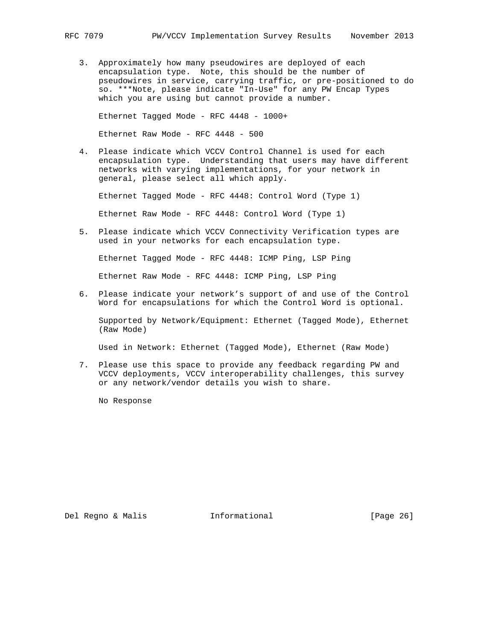3. Approximately how many pseudowires are deployed of each encapsulation type. Note, this should be the number of pseudowires in service, carrying traffic, or pre-positioned to do so. \*\*\*Note, please indicate "In-Use" for any PW Encap Types which you are using but cannot provide a number.

Ethernet Tagged Mode - RFC 4448 - 1000+

Ethernet Raw Mode - RFC 4448 - 500

 4. Please indicate which VCCV Control Channel is used for each encapsulation type. Understanding that users may have different networks with varying implementations, for your network in general, please select all which apply.

Ethernet Tagged Mode - RFC 4448: Control Word (Type 1)

Ethernet Raw Mode - RFC 4448: Control Word (Type 1)

 5. Please indicate which VCCV Connectivity Verification types are used in your networks for each encapsulation type.

Ethernet Tagged Mode - RFC 4448: ICMP Ping, LSP Ping

Ethernet Raw Mode - RFC 4448: ICMP Ping, LSP Ping

 6. Please indicate your network's support of and use of the Control Word for encapsulations for which the Control Word is optional.

 Supported by Network/Equipment: Ethernet (Tagged Mode), Ethernet (Raw Mode)

Used in Network: Ethernet (Tagged Mode), Ethernet (Raw Mode)

 7. Please use this space to provide any feedback regarding PW and VCCV deployments, VCCV interoperability challenges, this survey or any network/vendor details you wish to share.

No Response

Del Regno & Malis **Informational** [Page 26]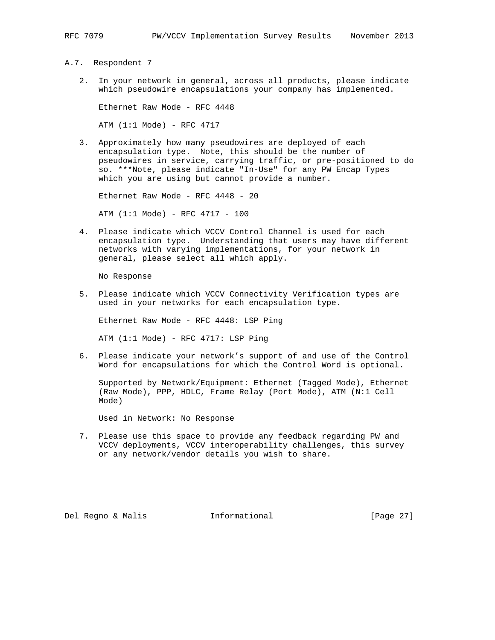A.7. Respondent 7

 2. In your network in general, across all products, please indicate which pseudowire encapsulations your company has implemented.

Ethernet Raw Mode - RFC 4448

ATM (1:1 Mode) - RFC 4717

 3. Approximately how many pseudowires are deployed of each encapsulation type. Note, this should be the number of pseudowires in service, carrying traffic, or pre-positioned to do so. \*\*\*Note, please indicate "In-Use" for any PW Encap Types which you are using but cannot provide a number.

Ethernet Raw Mode - RFC 4448 - 20

ATM (1:1 Mode) - RFC 4717 - 100

 4. Please indicate which VCCV Control Channel is used for each encapsulation type. Understanding that users may have different networks with varying implementations, for your network in general, please select all which apply.

No Response

 5. Please indicate which VCCV Connectivity Verification types are used in your networks for each encapsulation type.

Ethernet Raw Mode - RFC 4448: LSP Ping

 $ATM$  (1:1 Mode) - RFC 4717: LSP Ping

 6. Please indicate your network's support of and use of the Control Word for encapsulations for which the Control Word is optional.

 Supported by Network/Equipment: Ethernet (Tagged Mode), Ethernet (Raw Mode), PPP, HDLC, Frame Relay (Port Mode), ATM (N:1 Cell Mode)

Used in Network: No Response

 7. Please use this space to provide any feedback regarding PW and VCCV deployments, VCCV interoperability challenges, this survey or any network/vendor details you wish to share.

Del Regno & Malis Informational [Page 27]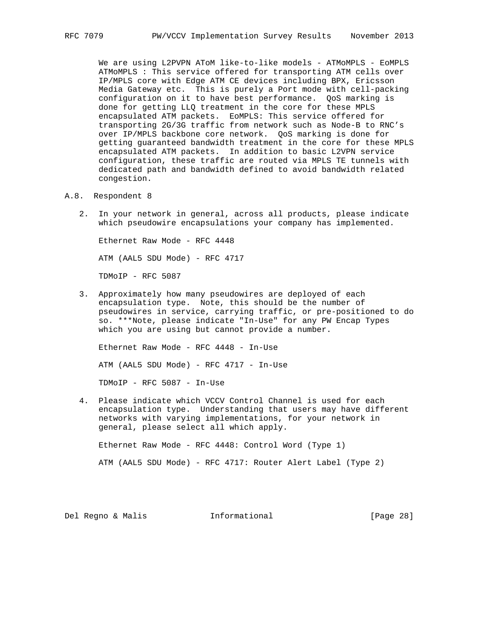We are using L2PVPN AToM like-to-like models - ATMoMPLS - EoMPLS ATMoMPLS : This service offered for transporting ATM cells over IP/MPLS core with Edge ATM CE devices including BPX, Ericsson Media Gateway etc. This is purely a Port mode with cell-packing configuration on it to have best performance. QoS marking is done for getting LLQ treatment in the core for these MPLS encapsulated ATM packets. EoMPLS: This service offered for transporting 2G/3G traffic from network such as Node-B to RNC's over IP/MPLS backbone core network. QoS marking is done for getting guaranteed bandwidth treatment in the core for these MPLS encapsulated ATM packets. In addition to basic L2VPN service configuration, these traffic are routed via MPLS TE tunnels with dedicated path and bandwidth defined to avoid bandwidth related congestion.

- A.8. Respondent 8
	- 2. In your network in general, across all products, please indicate which pseudowire encapsulations your company has implemented.

 Ethernet Raw Mode - RFC 4448 ATM (AAL5 SDU Mode) - RFC 4717 TDMoIP - RFC 5087

 3. Approximately how many pseudowires are deployed of each encapsulation type. Note, this should be the number of pseudowires in service, carrying traffic, or pre-positioned to do so. \*\*\*Note, please indicate "In-Use" for any PW Encap Types which you are using but cannot provide a number.

 Ethernet Raw Mode - RFC 4448 - In-Use ATM (AAL5 SDU Mode) - RFC 4717 - In-Use TDMoIP - RFC 5087 - In-Use

 4. Please indicate which VCCV Control Channel is used for each encapsulation type. Understanding that users may have different networks with varying implementations, for your network in general, please select all which apply.

Ethernet Raw Mode - RFC 4448: Control Word (Type 1)

ATM (AAL5 SDU Mode) - RFC 4717: Router Alert Label (Type 2)

Del Regno & Malis Informational [Page 28]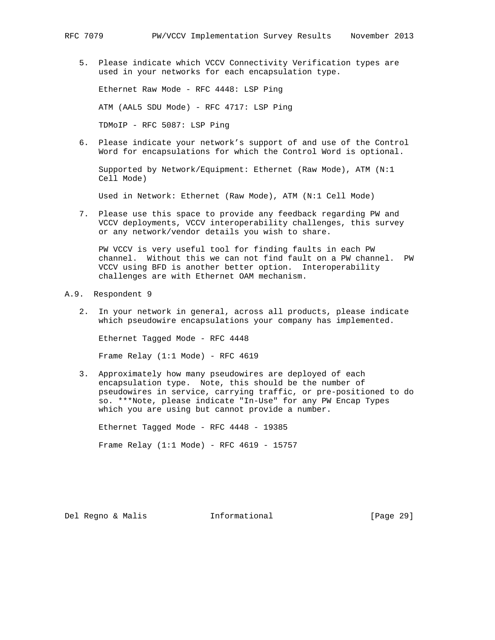5. Please indicate which VCCV Connectivity Verification types are used in your networks for each encapsulation type.

 Ethernet Raw Mode - RFC 4448: LSP Ping ATM (AAL5 SDU Mode) - RFC 4717: LSP Ping TDMoIP - RFC 5087: LSP Ping

 6. Please indicate your network's support of and use of the Control Word for encapsulations for which the Control Word is optional.

 Supported by Network/Equipment: Ethernet (Raw Mode), ATM (N:1 Cell Mode)

Used in Network: Ethernet (Raw Mode), ATM (N:1 Cell Mode)

 7. Please use this space to provide any feedback regarding PW and VCCV deployments, VCCV interoperability challenges, this survey or any network/vendor details you wish to share.

 PW VCCV is very useful tool for finding faults in each PW channel. Without this we can not find fault on a PW channel. PW VCCV using BFD is another better option. Interoperability challenges are with Ethernet OAM mechanism.

- A.9. Respondent 9
	- 2. In your network in general, across all products, please indicate which pseudowire encapsulations your company has implemented.

so. \*\*\*Note, please indicate "In-Use" for any PW Encap Types

 Ethernet Tagged Mode - RFC 4448 Frame Relay (1:1 Mode) - RFC 4619

 3. Approximately how many pseudowires are deployed of each encapsulation type. Note, this should be the number of pseudowires in service, carrying traffic, or pre-positioned to do

 Ethernet Tagged Mode - RFC 4448 - 19385 Frame Relay (1:1 Mode) - RFC 4619 - 15757

which you are using but cannot provide a number.

Del Regno & Malis Informational [Page 29]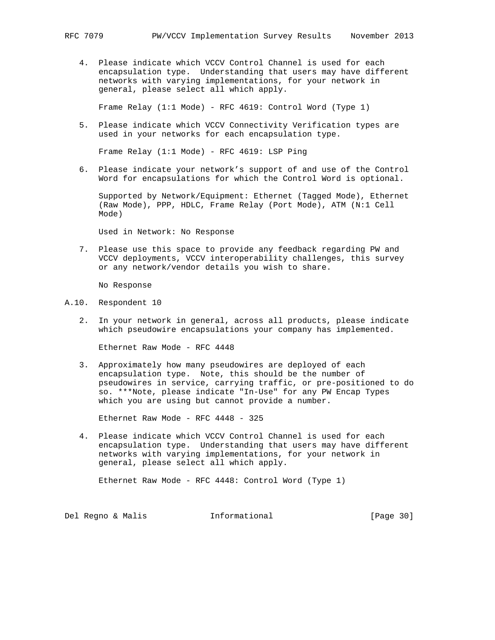4. Please indicate which VCCV Control Channel is used for each encapsulation type. Understanding that users may have different networks with varying implementations, for your network in general, please select all which apply.

Frame Relay (1:1 Mode) - RFC 4619: Control Word (Type 1)

 5. Please indicate which VCCV Connectivity Verification types are used in your networks for each encapsulation type.

Frame Relay (1:1 Mode) - RFC 4619: LSP Ping

 6. Please indicate your network's support of and use of the Control Word for encapsulations for which the Control Word is optional.

 Supported by Network/Equipment: Ethernet (Tagged Mode), Ethernet (Raw Mode), PPP, HDLC, Frame Relay (Port Mode), ATM (N:1 Cell Mode)

Used in Network: No Response

 7. Please use this space to provide any feedback regarding PW and VCCV deployments, VCCV interoperability challenges, this survey or any network/vendor details you wish to share.

No Response

- A.10. Respondent 10
	- 2. In your network in general, across all products, please indicate which pseudowire encapsulations your company has implemented.

Ethernet Raw Mode - RFC 4448

 3. Approximately how many pseudowires are deployed of each encapsulation type. Note, this should be the number of pseudowires in service, carrying traffic, or pre-positioned to do so. \*\*\*Note, please indicate "In-Use" for any PW Encap Types which you are using but cannot provide a number.

Ethernet Raw Mode - RFC 4448 - 325

 4. Please indicate which VCCV Control Channel is used for each encapsulation type. Understanding that users may have different networks with varying implementations, for your network in general, please select all which apply.

Ethernet Raw Mode - RFC 4448: Control Word (Type 1)

Del Regno & Malis **Informational** [Page 30]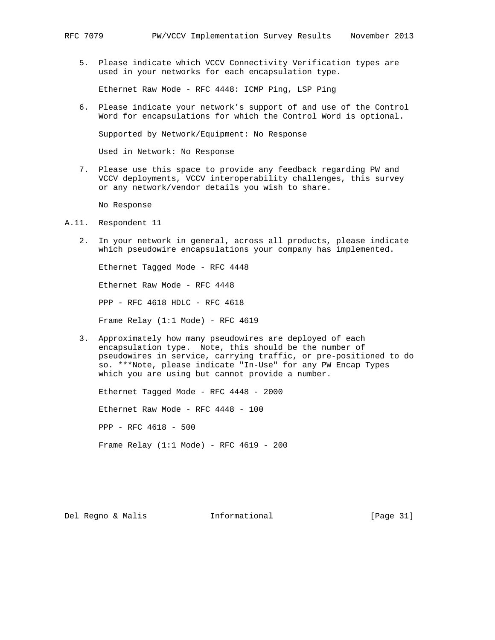5. Please indicate which VCCV Connectivity Verification types are used in your networks for each encapsulation type.

Ethernet Raw Mode - RFC 4448: ICMP Ping, LSP Ping

 6. Please indicate your network's support of and use of the Control Word for encapsulations for which the Control Word is optional.

Supported by Network/Equipment: No Response

Used in Network: No Response

 7. Please use this space to provide any feedback regarding PW and VCCV deployments, VCCV interoperability challenges, this survey or any network/vendor details you wish to share.

No Response

- A.11. Respondent 11
	- 2. In your network in general, across all products, please indicate which pseudowire encapsulations your company has implemented.

 Ethernet Tagged Mode - RFC 4448 Ethernet Raw Mode - RFC 4448 PPP - RFC 4618 HDLC - RFC 4618 Frame Relay (1:1 Mode) - RFC 4619

 3. Approximately how many pseudowires are deployed of each encapsulation type. Note, this should be the number of pseudowires in service, carrying traffic, or pre-positioned to do so. \*\*\*Note, please indicate "In-Use" for any PW Encap Types which you are using but cannot provide a number.

 Ethernet Tagged Mode - RFC 4448 - 2000 Ethernet Raw Mode - RFC 4448 - 100 PPP - RFC 4618 - 500 Frame Relay (1:1 Mode) - RFC 4619 - 200

Del Regno & Malis Informational [Page 31]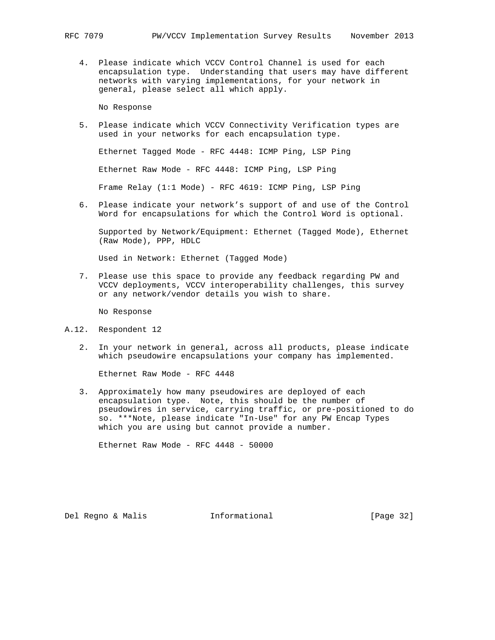4. Please indicate which VCCV Control Channel is used for each encapsulation type. Understanding that users may have different networks with varying implementations, for your network in general, please select all which apply.

No Response

 5. Please indicate which VCCV Connectivity Verification types are used in your networks for each encapsulation type.

Ethernet Tagged Mode - RFC 4448: ICMP Ping, LSP Ping

Ethernet Raw Mode - RFC 4448: ICMP Ping, LSP Ping

Frame Relay (1:1 Mode) - RFC 4619: ICMP Ping, LSP Ping

 6. Please indicate your network's support of and use of the Control Word for encapsulations for which the Control Word is optional.

 Supported by Network/Equipment: Ethernet (Tagged Mode), Ethernet (Raw Mode), PPP, HDLC

Used in Network: Ethernet (Tagged Mode)

 7. Please use this space to provide any feedback regarding PW and VCCV deployments, VCCV interoperability challenges, this survey or any network/vendor details you wish to share.

No Response

- A.12. Respondent 12
	- 2. In your network in general, across all products, please indicate which pseudowire encapsulations your company has implemented.

Ethernet Raw Mode - RFC 4448

 3. Approximately how many pseudowires are deployed of each encapsulation type. Note, this should be the number of pseudowires in service, carrying traffic, or pre-positioned to do so. \*\*\*Note, please indicate "In-Use" for any PW Encap Types which you are using but cannot provide a number.

Ethernet Raw Mode - RFC 4448 - 50000

Del Regno & Malis Informational [Page 32]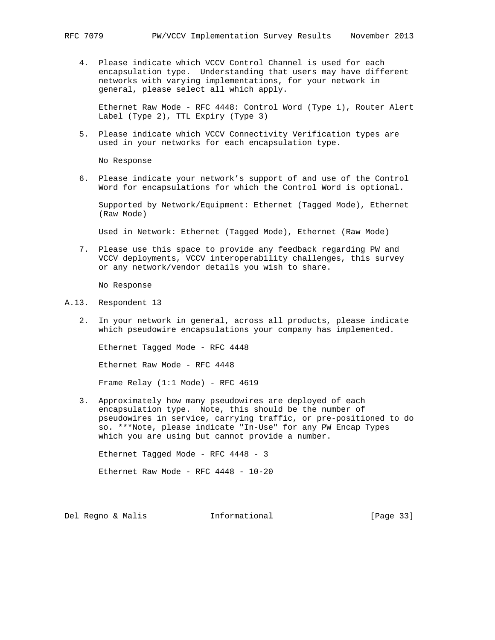4. Please indicate which VCCV Control Channel is used for each encapsulation type. Understanding that users may have different networks with varying implementations, for your network in general, please select all which apply.

 Ethernet Raw Mode - RFC 4448: Control Word (Type 1), Router Alert Label (Type 2), TTL Expiry (Type 3)

 5. Please indicate which VCCV Connectivity Verification types are used in your networks for each encapsulation type.

No Response

 6. Please indicate your network's support of and use of the Control Word for encapsulations for which the Control Word is optional.

 Supported by Network/Equipment: Ethernet (Tagged Mode), Ethernet (Raw Mode)

Used in Network: Ethernet (Tagged Mode), Ethernet (Raw Mode)

 7. Please use this space to provide any feedback regarding PW and VCCV deployments, VCCV interoperability challenges, this survey or any network/vendor details you wish to share.

No Response

- A.13. Respondent 13
	- 2. In your network in general, across all products, please indicate which pseudowire encapsulations your company has implemented.

 Ethernet Tagged Mode - RFC 4448 Ethernet Raw Mode - RFC 4448 Frame Relay (1:1 Mode) - RFC 4619

 3. Approximately how many pseudowires are deployed of each encapsulation type. Note, this should be the number of pseudowires in service, carrying traffic, or pre-positioned to do so. \*\*\*Note, please indicate "In-Use" for any PW Encap Types which you are using but cannot provide a number.

Ethernet Tagged Mode - RFC 4448 - 3

Ethernet Raw Mode - RFC 4448 - 10-20

Del Regno & Malis Informational [Page 33]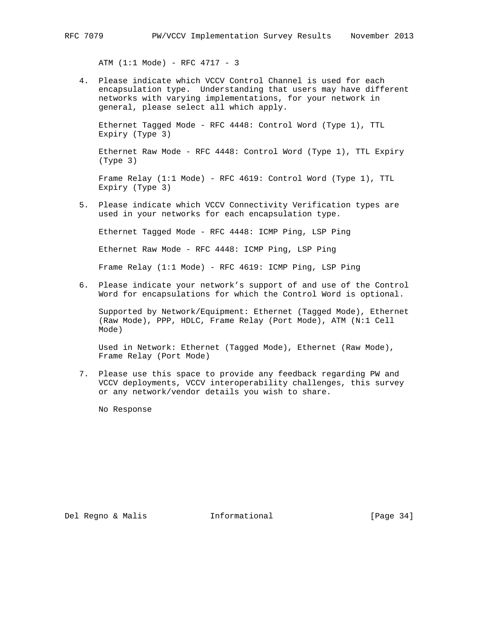ATM (1:1 Mode) - RFC 4717 - 3

 4. Please indicate which VCCV Control Channel is used for each encapsulation type. Understanding that users may have different networks with varying implementations, for your network in general, please select all which apply.

 Ethernet Tagged Mode - RFC 4448: Control Word (Type 1), TTL Expiry (Type 3)

 Ethernet Raw Mode - RFC 4448: Control Word (Type 1), TTL Expiry (Type 3)

 Frame Relay (1:1 Mode) - RFC 4619: Control Word (Type 1), TTL Expiry (Type 3)

 5. Please indicate which VCCV Connectivity Verification types are used in your networks for each encapsulation type.

Ethernet Tagged Mode - RFC 4448: ICMP Ping, LSP Ping

Ethernet Raw Mode - RFC 4448: ICMP Ping, LSP Ping

Frame Relay (1:1 Mode) - RFC 4619: ICMP Ping, LSP Ping

 6. Please indicate your network's support of and use of the Control Word for encapsulations for which the Control Word is optional.

 Supported by Network/Equipment: Ethernet (Tagged Mode), Ethernet (Raw Mode), PPP, HDLC, Frame Relay (Port Mode), ATM (N:1 Cell Mode)

 Used in Network: Ethernet (Tagged Mode), Ethernet (Raw Mode), Frame Relay (Port Mode)

 7. Please use this space to provide any feedback regarding PW and VCCV deployments, VCCV interoperability challenges, this survey or any network/vendor details you wish to share.

No Response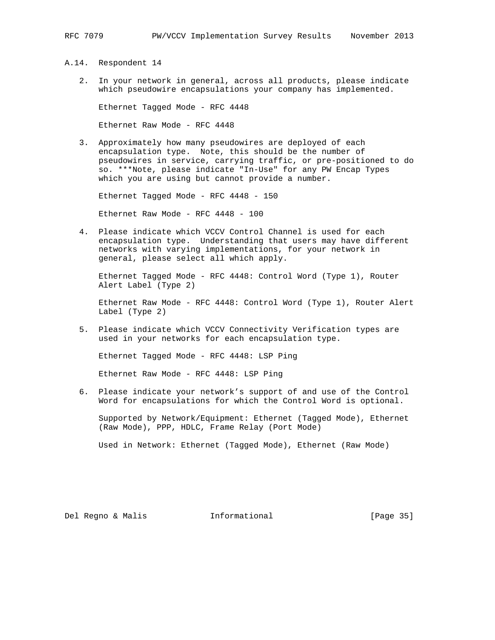A.14. Respondent 14

 2. In your network in general, across all products, please indicate which pseudowire encapsulations your company has implemented.

Ethernet Tagged Mode - RFC 4448

Ethernet Raw Mode - RFC 4448

 3. Approximately how many pseudowires are deployed of each encapsulation type. Note, this should be the number of pseudowires in service, carrying traffic, or pre-positioned to do so. \*\*\*Note, please indicate "In-Use" for any PW Encap Types which you are using but cannot provide a number.

Ethernet Tagged Mode - RFC 4448 - 150

Ethernet Raw Mode - RFC 4448 - 100

 4. Please indicate which VCCV Control Channel is used for each encapsulation type. Understanding that users may have different networks with varying implementations, for your network in general, please select all which apply.

 Ethernet Tagged Mode - RFC 4448: Control Word (Type 1), Router Alert Label (Type 2)

 Ethernet Raw Mode - RFC 4448: Control Word (Type 1), Router Alert Label (Type 2)

 5. Please indicate which VCCV Connectivity Verification types are used in your networks for each encapsulation type.

Ethernet Tagged Mode - RFC 4448: LSP Ping

Ethernet Raw Mode - RFC 4448: LSP Ping

 6. Please indicate your network's support of and use of the Control Word for encapsulations for which the Control Word is optional.

 Supported by Network/Equipment: Ethernet (Tagged Mode), Ethernet (Raw Mode), PPP, HDLC, Frame Relay (Port Mode)

Used in Network: Ethernet (Tagged Mode), Ethernet (Raw Mode)

Del Regno & Malis Informational [Page 35]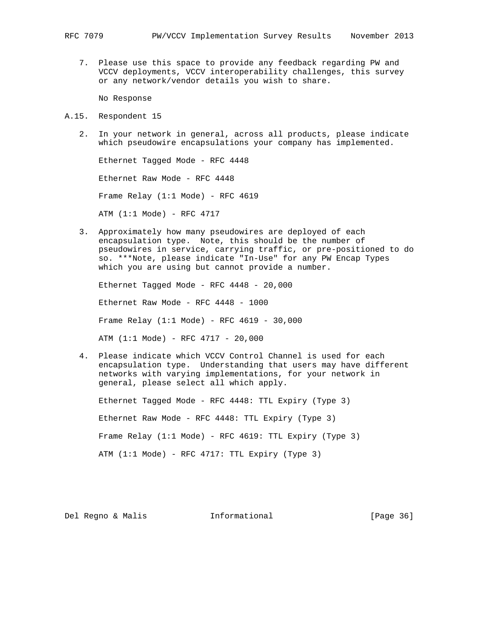7. Please use this space to provide any feedback regarding PW and VCCV deployments, VCCV interoperability challenges, this survey or any network/vendor details you wish to share.

No Response

- A.15. Respondent 15
	- 2. In your network in general, across all products, please indicate which pseudowire encapsulations your company has implemented.

 Ethernet Tagged Mode - RFC 4448 Ethernet Raw Mode - RFC 4448 Frame Relay (1:1 Mode) - RFC 4619 ATM (1:1 Mode) - RFC 4717

 3. Approximately how many pseudowires are deployed of each encapsulation type. Note, this should be the number of pseudowires in service, carrying traffic, or pre-positioned to do so. \*\*\*Note, please indicate "In-Use" for any PW Encap Types which you are using but cannot provide a number.

 Ethernet Tagged Mode - RFC 4448 - 20,000 Ethernet Raw Mode - RFC 4448 - 1000 Frame Relay (1:1 Mode) - RFC 4619 - 30,000 ATM (1:1 Mode) - RFC 4717 - 20,000

 4. Please indicate which VCCV Control Channel is used for each encapsulation type. Understanding that users may have different networks with varying implementations, for your network in general, please select all which apply.

 Ethernet Tagged Mode - RFC 4448: TTL Expiry (Type 3) Ethernet Raw Mode - RFC 4448: TTL Expiry (Type 3) Frame Relay (1:1 Mode) - RFC 4619: TTL Expiry (Type 3) ATM (1:1 Mode) - RFC 4717: TTL Expiry (Type 3)

Del Regno & Malis Informational [Page 36]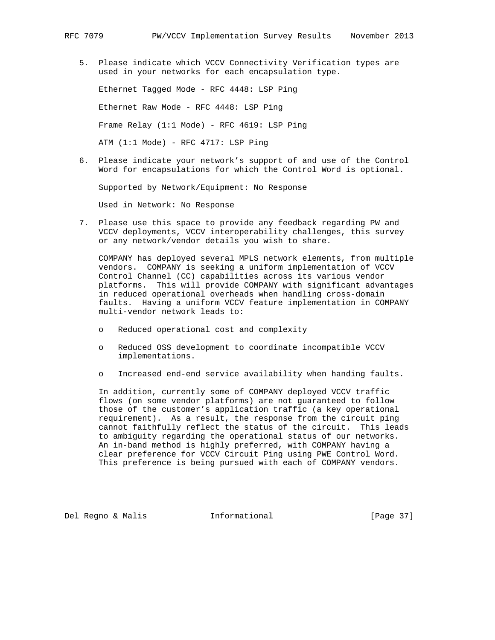5. Please indicate which VCCV Connectivity Verification types are used in your networks for each encapsulation type.

 Ethernet Tagged Mode - RFC 4448: LSP Ping Ethernet Raw Mode - RFC 4448: LSP Ping Frame Relay (1:1 Mode) - RFC 4619: LSP Ping ATM  $(1:1 \text{ Mode})$  - RFC 4717: LSP Ping

 6. Please indicate your network's support of and use of the Control Word for encapsulations for which the Control Word is optional.

Supported by Network/Equipment: No Response

Used in Network: No Response

 7. Please use this space to provide any feedback regarding PW and VCCV deployments, VCCV interoperability challenges, this survey or any network/vendor details you wish to share.

 COMPANY has deployed several MPLS network elements, from multiple vendors. COMPANY is seeking a uniform implementation of VCCV Control Channel (CC) capabilities across its various vendor platforms. This will provide COMPANY with significant advantages in reduced operational overheads when handling cross-domain faults. Having a uniform VCCV feature implementation in COMPANY multi-vendor network leads to:

- o Reduced operational cost and complexity
- o Reduced OSS development to coordinate incompatible VCCV implementations.
- o Increased end-end service availability when handing faults.

 In addition, currently some of COMPANY deployed VCCV traffic flows (on some vendor platforms) are not guaranteed to follow those of the customer's application traffic (a key operational requirement). As a result, the response from the circuit ping cannot faithfully reflect the status of the circuit. This leads to ambiguity regarding the operational status of our networks. An in-band method is highly preferred, with COMPANY having a clear preference for VCCV Circuit Ping using PWE Control Word. This preference is being pursued with each of COMPANY vendors.

Del Regno & Malis Informational [Page 37]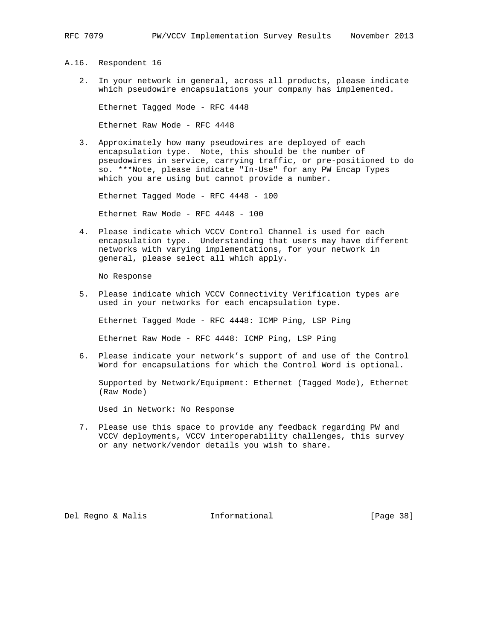- A.16. Respondent 16
	- 2. In your network in general, across all products, please indicate which pseudowire encapsulations your company has implemented.

Ethernet Tagged Mode - RFC 4448

Ethernet Raw Mode - RFC 4448

 3. Approximately how many pseudowires are deployed of each encapsulation type. Note, this should be the number of pseudowires in service, carrying traffic, or pre-positioned to do so. \*\*\*Note, please indicate "In-Use" for any PW Encap Types which you are using but cannot provide a number.

Ethernet Tagged Mode - RFC 4448 - 100

Ethernet Raw Mode - RFC 4448 - 100

 4. Please indicate which VCCV Control Channel is used for each encapsulation type. Understanding that users may have different networks with varying implementations, for your network in general, please select all which apply.

No Response

 5. Please indicate which VCCV Connectivity Verification types are used in your networks for each encapsulation type.

Ethernet Tagged Mode - RFC 4448: ICMP Ping, LSP Ping

Ethernet Raw Mode - RFC 4448: ICMP Ping, LSP Ping

 6. Please indicate your network's support of and use of the Control Word for encapsulations for which the Control Word is optional.

 Supported by Network/Equipment: Ethernet (Tagged Mode), Ethernet (Raw Mode)

Used in Network: No Response

 7. Please use this space to provide any feedback regarding PW and VCCV deployments, VCCV interoperability challenges, this survey or any network/vendor details you wish to share.

Del Regno & Malis Informational [Page 38]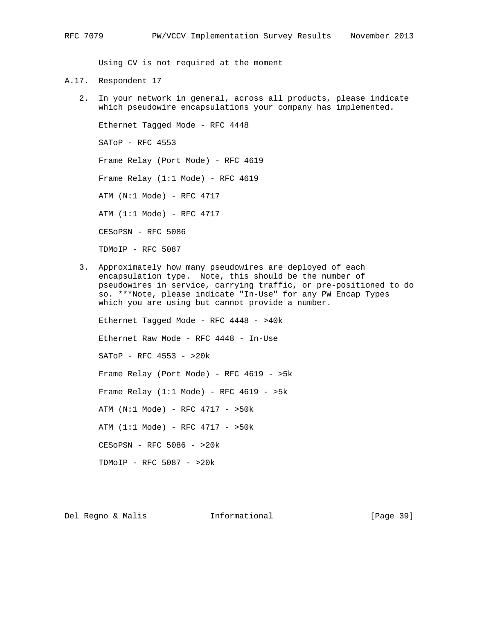Using CV is not required at the moment

- A.17. Respondent 17
	- 2. In your network in general, across all products, please indicate which pseudowire encapsulations your company has implemented.

 Ethernet Tagged Mode - RFC 4448 SAToP - RFC 4553 Frame Relay (Port Mode) - RFC 4619 Frame Relay  $(1:1 \text{ Mode})$  - RFC 4619 ATM (N:1 Mode) - RFC 4717 ATM (1:1 Mode) - RFC 4717 CESoPSN - RFC 5086 TDMoIP - RFC 5087

 3. Approximately how many pseudowires are deployed of each encapsulation type. Note, this should be the number of pseudowires in service, carrying traffic, or pre-positioned to do so. \*\*\*Note, please indicate "In-Use" for any PW Encap Types which you are using but cannot provide a number.

 Ethernet Tagged Mode - RFC 4448 - >40k Ethernet Raw Mode - RFC 4448 - In-Use SAToP - RFC 4553 - >20k Frame Relay (Port Mode) - RFC 4619 - >5k Frame Relay  $(1:1 \text{ Mode})$  - RFC 4619 - >5k ATM (N:1 Mode) - RFC 4717 - >50k ATM (1:1 Mode) - RFC 4717 - >50k CESoPSN - RFC 5086 - >20k TDMoIP - RFC 5087 - >20k

Del Regno & Malis **Informational** [Page 39]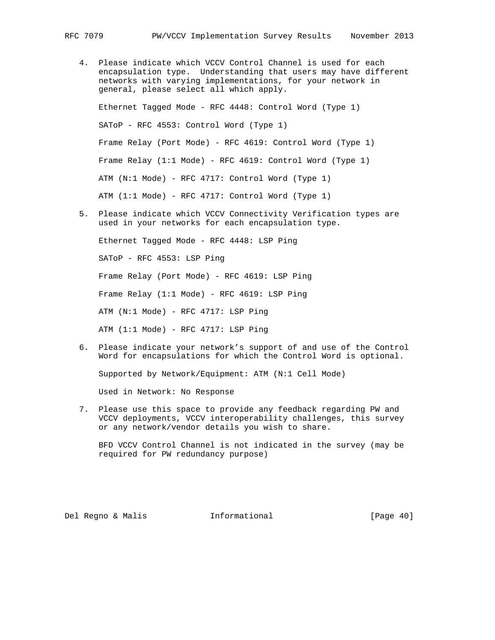- 4. Please indicate which VCCV Control Channel is used for each encapsulation type. Understanding that users may have different networks with varying implementations, for your network in general, please select all which apply. Ethernet Tagged Mode - RFC 4448: Control Word (Type 1) SAToP - RFC 4553: Control Word (Type 1) Frame Relay (Port Mode) - RFC 4619: Control Word (Type 1) Frame Relay (1:1 Mode) - RFC 4619: Control Word (Type 1) ATM (N:1 Mode) - RFC 4717: Control Word (Type 1) ATM (1:1 Mode) - RFC 4717: Control Word (Type 1)
- 5. Please indicate which VCCV Connectivity Verification types are used in your networks for each encapsulation type.

 Ethernet Tagged Mode - RFC 4448: LSP Ping SAToP - RFC 4553: LSP Ping Frame Relay (Port Mode) - RFC 4619: LSP Ping Frame Relay (1:1 Mode) - RFC 4619: LSP Ping ATM (N:1 Mode) - RFC 4717: LSP Ping ATM (1:1 Mode) - RFC 4717: LSP Ping

 6. Please indicate your network's support of and use of the Control Word for encapsulations for which the Control Word is optional.

Supported by Network/Equipment: ATM (N:1 Cell Mode)

Used in Network: No Response

 7. Please use this space to provide any feedback regarding PW and VCCV deployments, VCCV interoperability challenges, this survey or any network/vendor details you wish to share.

 BFD VCCV Control Channel is not indicated in the survey (may be required for PW redundancy purpose)

Del Regno & Malis Informational [Page 40]